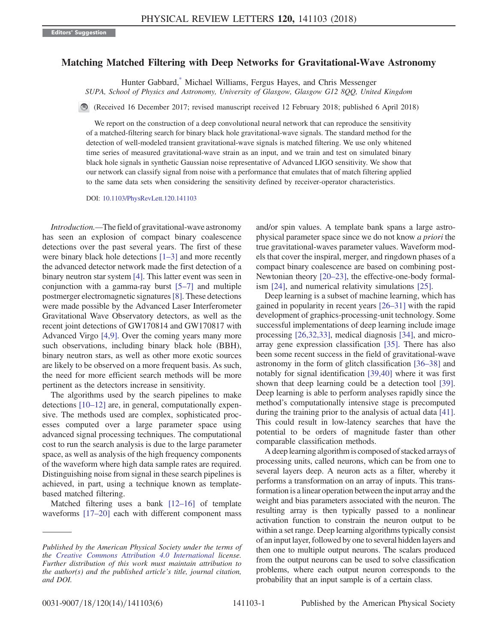## <span id="page-0-0"></span>Matching Matched Filtering with Deep Networks for Gravitational-Wave Astronomy

Hunter Gabbard[,\\*](#page-4-0) Michael Williams, Fergus Hayes, and Chris Messenger

SUPA, School of Physics and Astronomy, University of Glasgow, Glasgow G12 8QQ, United Kingdom

(Received 16 December 2017; revised manuscript received 12 February 2018; published 6 April 2018)

We report on the construction of a deep convolutional neural network that can reproduce the sensitivity of a matched-filtering search for binary black hole gravitational-wave signals. The standard method for the detection of well-modeled transient gravitational-wave signals is matched filtering. We use only whitened time series of measured gravitational-wave strain as an input, and we train and test on simulated binary black hole signals in synthetic Gaussian noise representative of Advanced LIGO sensitivity. We show that our network can classify signal from noise with a performance that emulates that of match filtering applied to the same data sets when considering the sensitivity defined by receiver-operator characteristics.

DOI: [10.1103/PhysRevLett.120.141103](https://doi.org/10.1103/PhysRevLett.120.141103)

Introduction.—The field of gravitational-wave astronomy has seen an explosion of compact binary coalescence detections over the past several years. The first of these were binary black hole detections [\[1](#page-4-1)–3] and more recently the advanced detector network made the first detection of a binary neutron star system [\[4\].](#page-4-2) This latter event was seen in conjunction with a gamma-ray burst [5–[7\]](#page-4-3) and multiple postmerger electromagnetic signatures[\[8\].](#page-4-4) These detections were made possible by the Advanced Laser Interferometer Gravitational Wave Observatory detectors, as well as the recent joint detections of GW170814 and GW170817 with Advanced Virgo [\[4,9\]](#page-4-2). Over the coming years many more such observations, including binary black hole (BBH), binary neutron stars, as well as other more exotic sources are likely to be observed on a more frequent basis. As such, the need for more efficient search methods will be more pertinent as the detectors increase in sensitivity.

The algorithms used by the search pipelines to make detections [\[10](#page-4-5)–12] are, in general, computationally expensive. The methods used are complex, sophisticated processes computed over a large parameter space using advanced signal processing techniques. The computational cost to run the search analysis is due to the large parameter space, as well as analysis of the high frequency components of the waveform where high data sample rates are required. Distinguishing noise from signal in these search pipelines is achieved, in part, using a technique known as templatebased matched filtering.

Matched filtering uses a bank [12–[16\]](#page-4-6) of template waveforms [\[17](#page-5-0)–20] each with different component mass and/or spin values. A template bank spans a large astrophysical parameter space since we do not know a priori the true gravitational-waves parameter values. Waveform models that cover the inspiral, merger, and ringdown phases of a compact binary coalescence are based on combining post-Newtonian theory [\[20](#page-5-1)–23], the effective-one-body formalism [\[24\],](#page-5-2) and numerical relativity simulations [\[25\]](#page-5-3).

Deep learning is a subset of machine learning, which has gained in popularity in recent years [\[26](#page-5-4)–31] with the rapid development of graphics-processing-unit technology. Some successful implementations of deep learning include image processing [\[26,32,33\]](#page-5-4), medical diagnosis [\[34\]](#page-5-5), and microarray gene expression classification [\[35\]](#page-5-6). There has also been some recent success in the field of gravitational-wave astronomy in the form of glitch classification [36–[38\]](#page-5-7) and notably for signal identification [\[39,40\]](#page-5-8) where it was first shown that deep learning could be a detection tool [\[39\]](#page-5-8). Deep learning is able to perform analyses rapidly since the method's computationally intensive stage is precomputed during the training prior to the analysis of actual data [\[41\]](#page-5-9). This could result in low-latency searches that have the potential to be orders of magnitude faster than other comparable classification methods.

A deep learning algorithm is composed of stacked arrays of processing units, called neurons, which can be from one to several layers deep. A neuron acts as a filter, whereby it performs a transformation on an array of inputs. This transformation is a linear operation between the input array and the weight and bias parameters associated with the neuron. The resulting array is then typically passed to a nonlinear activation function to constrain the neuron output to be within a set range. Deep learning algorithms typically consist of an input layer, followed by one to several hidden layers and then one to multiple output neurons. The scalars produced from the output neurons can be used to solve classification problems, where each output neuron corresponds to the probability that an input sample is of a certain class.

Published by the American Physical Society under the terms of the [Creative Commons Attribution 4.0 International](https://creativecommons.org/licenses/by/4.0/) license. Further distribution of this work must maintain attribution to the author(s) and the published article's title, journal citation, and DOI.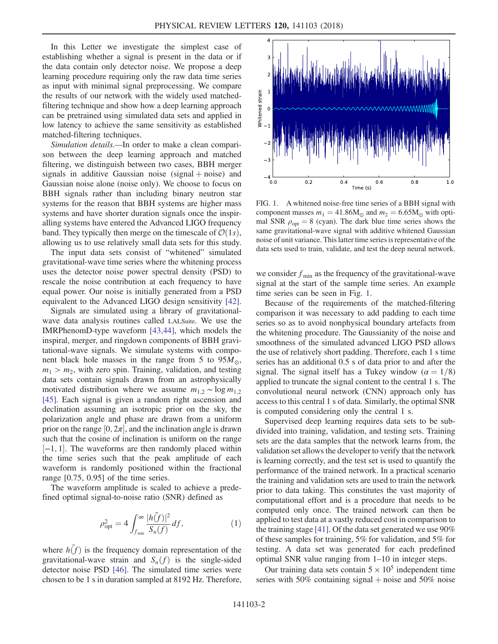In this Letter we investigate the simplest case of establishing whether a signal is present in the data or if the data contain only detector noise. We propose a deep learning procedure requiring only the raw data time series as input with minimal signal preprocessing. We compare the results of our network with the widely used matchedfiltering technique and show how a deep learning approach can be pretrained using simulated data sets and applied in low latency to achieve the same sensitivity as established matched-filtering techniques.

Simulation details.—In order to make a clean comparison between the deep learning approach and matched filtering, we distinguish between two cases, BBH merger signals in additive Gaussian noise (signal  $+$  noise) and Gaussian noise alone (noise only). We choose to focus on BBH signals rather than including binary neutron star systems for the reason that BBH systems are higher mass systems and have shorter duration signals once the inspiralling systems have entered the Advanced LIGO frequency band. They typically then merge on the timescale of  $\mathcal{O}(1s)$ , allowing us to use relatively small data sets for this study.

The input data sets consist of "whitened" simulated gravitational-wave time series where the whitening process uses the detector noise power spectral density (PSD) to rescale the noise contribution at each frequency to have equal power. Our noise is initially generated from a PSD equivalent to the Advanced LIGO design sensitivity [\[42\]](#page-5-10).

Signals are simulated using a library of gravitationalwave data analysis routines called LALSuite. We use the IMRPhenomD-type waveform [\[43,44\]](#page-5-11), which models the inspiral, merger, and ringdown components of BBH gravitational-wave signals. We simulate systems with component black hole masses in the range from 5 to  $95M_{\odot}$ ,  $m_1 > m_2$ , with zero spin. Training, validation, and testing data sets contain signals drawn from an astrophysically motivated distribution where we assume  $m_{1,2} \sim \log m_{1,2}$ [\[45\]](#page-5-12). Each signal is given a random right ascension and declination assuming an isotropic prior on the sky, the polarization angle and phase are drawn from a uniform prior on the range  $[0, 2\pi]$ , and the inclination angle is drawn such that the cosine of inclination is uniform on the range [-1, 1]. The waveforms are then randomly placed within the time series such that the peak amplitude of each waveform is randomly positioned within the fractional range [0.75, 0.95] of the time series.

The waveform amplitude is scaled to achieve a predefined optimal signal-to-noise ratio (SNR) defined as

$$
\rho_{\rm opt}^2 = 4 \int_{f_{\rm min}}^{\infty} \frac{|h(\tilde{f})|^2}{S_n(f)} df, \tag{1}
$$

where  $h(f)$  is the frequency domain representation of the gravitational-wave strain and  $S_n(f)$  is the single-sided detector noise PSD [\[46\].](#page-5-13) The simulated time series were chosen to be 1 s in duration sampled at 8192 Hz. Therefore,

<span id="page-1-0"></span>

FIG. 1. A whitened noise-free time series of a BBH signal with component masses  $m_1 = 41.86M_\odot$  and  $m_2 = 6.65M_\odot$  with optimal SNR  $\rho_{opt} = 8$  (cyan). The dark blue time series shows the same gravitational-wave signal with additive whitened Gaussian noise of unit variance. This latter time series is representative of the data sets used to train, validate, and test the deep neural network.

we consider  $f_{\text{min}}$  as the frequency of the gravitational-wave signal at the start of the sample time series. An example time series can be seen in Fig. [1](#page-1-0).

Because of the requirements of the matched-filtering comparison it was necessary to add padding to each time series so as to avoid nonphysical boundary artefacts from the whitening procedure. The Gaussianity of the noise and smoothness of the simulated advanced LIGO PSD allows the use of relatively short padding. Therefore, each 1 s time series has an additional 0.5 s of data prior to and after the signal. The signal itself has a Tukey window ( $\alpha = 1/8$ ) applied to truncate the signal content to the central 1 s. The convolutional neural network (CNN) approach only has access to this central 1 s of data. Similarly, the optimal SNR is computed considering only the central 1 s.

Supervised deep learning requires data sets to be subdivided into training, validation, and testing sets. Training sets are the data samples that the network learns from, the validation set allows the developer to verify that the network is learning correctly, and the test set is used to quantify the performance of the trained network. In a practical scenario the training and validation sets are used to train the network prior to data taking. This constitutes the vast majority of computational effort and is a procedure that needs to be computed only once. The trained network can then be applied to test data at a vastly reduced cost in comparison to the training stage [\[41\]](#page-5-9). Of the data set generated we use 90% of these samples for training, 5% for validation, and 5% for testing. A data set was generated for each predefined optimal SNR value ranging from 1–10 in integer steps.

Our training data sets contain  $5 \times 10^5$  independent time series with 50% containing signal  $+$  noise and 50% noise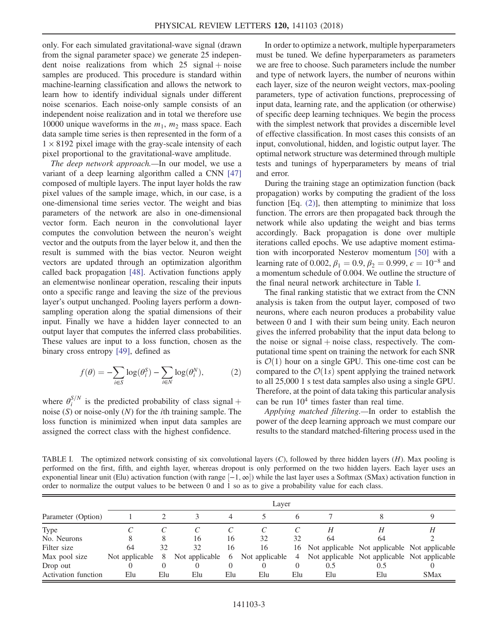only. For each simulated gravitational-wave signal (drawn from the signal parameter space) we generate 25 independent noise realizations from which  $25$  signal + noise samples are produced. This procedure is standard within machine-learning classification and allows the network to learn how to identify individual signals under different noise scenarios. Each noise-only sample consists of an independent noise realization and in total we therefore use 10000 unique waveforms in the  $m_1$ ,  $m_2$  mass space. Each data sample time series is then represented in the form of a  $1 \times 8192$  pixel image with the gray-scale intensity of each pixel proportional to the gravitational-wave amplitude.

The deep network approach.—In our model, we use a variant of a deep learning algorithm called a CNN [\[47\]](#page-5-14) composed of multiple layers. The input layer holds the raw pixel values of the sample image, which, in our case, is a one-dimensional time series vector. The weight and bias parameters of the network are also in one-dimensional vector form. Each neuron in the convolutional layer computes the convolution between the neuron's weight vector and the outputs from the layer below it, and then the result is summed with the bias vector. Neuron weight vectors are updated through an optimization algorithm called back propagation [\[48\]](#page-5-15). Activation functions apply an elementwise nonlinear operation, rescaling their inputs onto a specific range and leaving the size of the previous layer's output unchanged. Pooling layers perform a downsampling operation along the spatial dimensions of their input. Finally we have a hidden layer connected to an output layer that computes the inferred class probabilities. These values are input to a loss function, chosen as the binary cross entropy [\[49\],](#page-5-16) defined as

<span id="page-2-0"></span>
$$
f(\theta) = -\sum_{i \in S} \log(\theta_i^S) - \sum_{i \in N} \log(\theta_i^N), \tag{2}
$$

where  $\theta_i^{S/N}$  is the predicted probability of class signal + noise  $(S)$  or noise-only  $(N)$  for the *i*th training sample. The loss function is minimized when input data samples are assigned the correct class with the highest confidence.

In order to optimize a network, multiple hyperparameters must be tuned. We define hyperparameters as parameters we are free to choose. Such parameters include the number and type of network layers, the number of neurons within each layer, size of the neuron weight vectors, max-pooling parameters, type of activation functions, preprocessing of input data, learning rate, and the application (or otherwise) of specific deep learning techniques. We begin the process with the simplest network that provides a discernible level of effective classification. In most cases this consists of an input, convolutional, hidden, and logistic output layer. The optimal network structure was determined through multiple tests and tunings of hyperparameters by means of trial and error.

During the training stage an optimization function (back propagation) works by computing the gradient of the loss function  $[Eq. (2)]$  $[Eq. (2)]$ , then attempting to minimize that loss function. The errors are then propagated back through the network while also updating the weight and bias terms accordingly. Back propagation is done over multiple iterations called epochs. We use adaptive moment estimation with incorporated Nesterov momentum [\[50\]](#page-5-17) with a learning rate of 0.002,  $\beta_1 = 0.9$ ,  $\beta_2 = 0.999$ ,  $\epsilon = 10^{-8}$  and a momentum schedule of 0.004. We outline the structure of the final neural network architecture in Table [I](#page-2-1).

The final ranking statistic that we extract from the CNN analysis is taken from the output layer, composed of two neurons, where each neuron produces a probability value between 0 and 1 with their sum being unity. Each neuron gives the inferred probability that the input data belong to the noise or signal  $+$  noise class, respectively. The computational time spent on training the network for each SNR is  $\mathcal{O}(1)$  hour on a single GPU. This one-time cost can be compared to the  $\mathcal{O}(1s)$  spent applying the trained network to all 25,000 1 s test data samples also using a single GPU. Therefore, at the point of data taking this particular analysis can be run  $10<sup>4</sup>$  times faster than real time.

Applying matched filtering.—In order to establish the power of the deep learning approach we must compare our results to the standard matched-filtering process used in the

<span id="page-2-1"></span>TABLE I. The optimized network consisting of six convolutional layers  $(C)$ , followed by three hidden layers  $(H)$ . Max pooling is performed on the first, fifth, and eighth layer, whereas dropout is only performed on the two hidden layers. Each layer uses an exponential linear unit (Elu) activation function (with range [-1, ∞]) while the last layer uses a Softmax (SMax) activation function in order to normalize the output values to be between 0 and 1 so as to give a probability value for each class.

| Parameter (Option)         | Layer            |     |                  |     |                |                |                                                 |       |             |
|----------------------------|------------------|-----|------------------|-----|----------------|----------------|-------------------------------------------------|-------|-------------|
|                            |                  |     |                  |     |                |                |                                                 |       |             |
| Type                       |                  |     |                  |     |                |                |                                                 |       |             |
| No. Neurons                |                  |     | 16               | 16  | 32             | 32             | 64                                              | 64    |             |
| Filter size                | 64               | 32  | 32               | 16  | 16             |                | 16 Not applicable Not applicable Not applicable |       |             |
| Max pool size              | Not applicable 8 |     | Not applicable 6 |     | Not applicable | $\overline{4}$ | Not applicable Not applicable Not applicable    |       |             |
| Drop out                   |                  |     |                  |     |                |                | 0.5                                             | (0.5) |             |
| <b>Activation function</b> | Elu              | Elu | Elu              | Elu | Elu            | Elu            | Elu                                             | Elu   | <b>SMax</b> |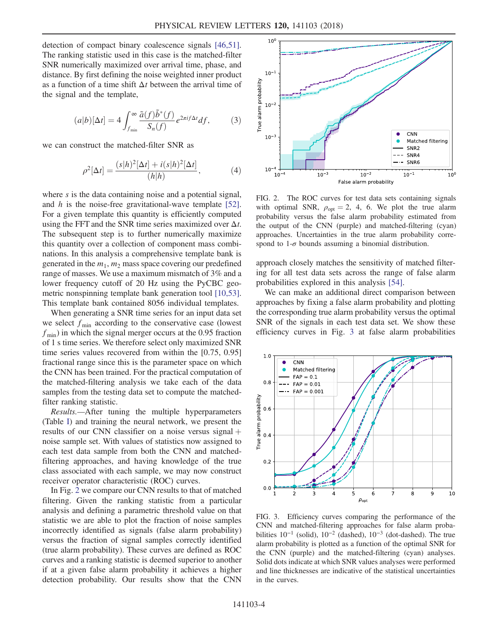detection of compact binary coalescence signals [\[46,51\]](#page-5-13). The ranking statistic used in this case is the matched-filter SNR numerically maximized over arrival time, phase, and distance. By first defining the noise weighted inner product as a function of a time shift  $\Delta t$  between the arrival time of the signal and the template,

$$
(a|b)[\Delta t] = 4 \int_{f_{\min}}^{\infty} \frac{\tilde{a}(f)\tilde{b}^*(f)}{S_n(f)} e^{2\pi i f \Delta t} df, \qquad (3)
$$

we can construct the matched-filter SNR as

$$
\rho^2[\Delta t] = \frac{(s|h)^2[\Delta t] + i(s|h)^2[\Delta t]}{(h|h)},\tag{4}
$$

where s is the data containing noise and a potential signal, and h is the noise-free gravitational-wave template [\[52\]](#page-5-18). For a given template this quantity is efficiently computed using the FFT and the SNR time series maximized over  $\Delta t$ . The subsequent step is to further numerically maximize this quantity over a collection of component mass combinations. In this analysis a comprehensive template bank is generated in the  $m_1$ ,  $m_2$  mass space covering our predefined range of masses. We use a maximum mismatch of 3% and a lower frequency cutoff of 20 Hz using the PyCBC geometric nonspinning template bank generation tool [\[10,53\]](#page-4-5). This template bank contained 8056 individual templates.

When generating a SNR time series for an input data set we select  $f_{\text{min}}$  according to the conservative case (lowest  $f_{\text{min}}$ ) in which the signal merger occurs at the 0.95 fraction of 1 s time series. We therefore select only maximized SNR time series values recovered from within the [0.75, 0.95] fractional range since this is the parameter space on which the CNN has been trained. For the practical computation of the matched-filtering analysis we take each of the data samples from the testing data set to compute the matchedfilter ranking statistic.

Results.—After tuning the multiple hyperparameters (Table [I](#page-2-1)) and training the neural network, we present the results of our CNN classifier on a noise versus signal  $+$ noise sample set. With values of statistics now assigned to each test data sample from both the CNN and matchedfiltering approaches, and having knowledge of the true class associated with each sample, we may now construct receiver operator characteristic (ROC) curves.

In Fig. [2](#page-3-0) we compare our CNN results to that of matched filtering. Given the ranking statistic from a particular analysis and defining a parametric threshold value on that statistic we are able to plot the fraction of noise samples incorrectly identified as signals (false alarm probability) versus the fraction of signal samples correctly identified (true alarm probability). These curves are defined as ROC curves and a ranking statistic is deemed superior to another if at a given false alarm probability it achieves a higher detection probability. Our results show that the CNN

<span id="page-3-0"></span>

FIG. 2. The ROC curves for test data sets containing signals with optimal SNR,  $\rho_{\text{opt}} = 2$ , 4, 6. We plot the true alarm probability versus the false alarm probability estimated from the output of the CNN (purple) and matched-filtering (cyan) approaches. Uncertainties in the true alarm probability correspond to  $1-\sigma$  bounds assuming a binomial distribution.

approach closely matches the sensitivity of matched filtering for all test data sets across the range of false alarm probabilities explored in this analysis [\[54\]](#page-5-19).

We can make an additional direct comparison between approaches by fixing a false alarm probability and plotting the corresponding true alarm probability versus the optimal SNR of the signals in each test data set. We show these efficiency curves in Fig. [3](#page-3-1) at false alarm probabilities

<span id="page-3-1"></span>

FIG. 3. Efficiency curves comparing the performance of the CNN and matched-filtering approaches for false alarm probabilities  $10^{-1}$  (solid),  $10^{-2}$  (dashed),  $10^{-3}$  (dot-dashed). The true alarm probability is plotted as a function of the optimal SNR for the CNN (purple) and the matched-filtering (cyan) analyses. Solid dots indicate at which SNR values analyses were performed and line thicknesses are indicative of the statistical uncertainties in the curves.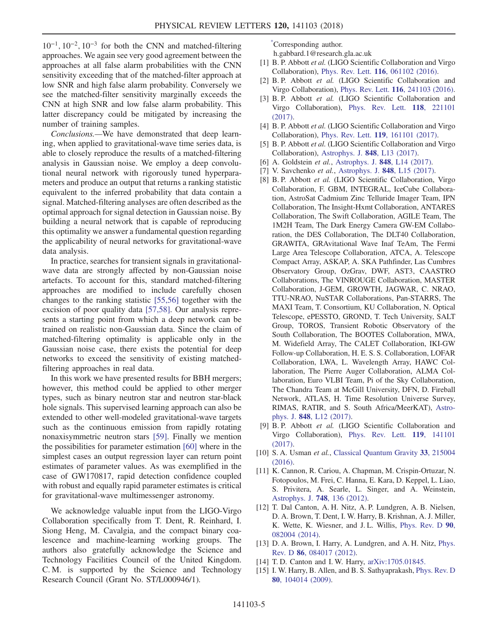$10^{-1}$ ,  $10^{-2}$ ,  $10^{-3}$  for both the CNN and matched-filtering approaches. We again see very good agreement between the approaches at all false alarm probabilities with the CNN sensitivity exceeding that of the matched-filter approach at low SNR and high false alarm probability. Conversely we see the matched-filter sensitivity marginally exceeds the CNN at high SNR and low false alarm probability. This latter discrepancy could be mitigated by increasing the number of training samples.

Conclusions.—We have demonstrated that deep learning, when applied to gravitational-wave time series data, is able to closely reproduce the results of a matched-filtering analysis in Gaussian noise. We employ a deep convolutional neural network with rigorously tuned hyperparameters and produce an output that returns a ranking statistic equivalent to the inferred probability that data contain a signal. Matched-filtering analyses are often described as the optimal approach for signal detection in Gaussian noise. By building a neural network that is capable of reproducing this optimality we answer a fundamental question regarding the applicability of neural networks for gravitational-wave data analysis.

In practice, searches for transient signals in gravitationalwave data are strongly affected by non-Gaussian noise artefacts. To account for this, standard matched-filtering approaches are modified to include carefully chosen changes to the ranking statistic [\[55,56\]](#page-5-20) together with the excision of poor quality data [\[57,58\]](#page-5-21). Our analysis represents a starting point from which a deep network can be trained on realistic non-Gaussian data. Since the claim of matched-filtering optimality is applicable only in the Gaussian noise case, there exists the potential for deep networks to exceed the sensitivity of existing matchedfiltering approaches in real data.

In this work we have presented results for BBH mergers; however, this method could be applied to other merger types, such as binary neutron star and neutron star-black hole signals. This supervised learning approach can also be extended to other well-modeled gravitational-wave targets such as the continuous emission from rapidly rotating nonaxisymmetric neutron stars [\[59\]](#page-5-22). Finally we mention the possibilities for parameter estimation [\[60\]](#page-5-23) where in the simplest cases an output regression layer can return point estimates of parameter values. As was exemplified in the case of GW170817, rapid detection confidence coupled with robust and equally rapid parameter estimates is critical for gravitational-wave multimessenger astronomy.

We acknowledge valuable input from the LIGO-Virgo Collaboration specifically from T. Dent, R. Reinhard, I. Siong Heng, M. Cavalgia, and the compact binary coalescence and machine-learning working groups. The authors also gratefully acknowledge the Science and Technology Facilities Council of the United Kingdom. C. M. is supported by the Science and Technology Research Council (Grant No. ST/L000946/1).

<span id="page-4-0"></span>[\\*](#page-0-0) Corresponding author.

h.gabbard.1@research.gla.ac.uk

- <span id="page-4-1"></span>[1] B. P. Abbott et al. (LIGO Scientific Collaboration and Virgo Collaboration), Phys. Rev. Lett. 116[, 061102 \(2016\)](https://doi.org/10.1103/PhysRevLett.116.061102).
- [2] B. P. Abbott et al. (LIGO Scientific Collaboration and Virgo Collaboration), Phys. Rev. Lett. 116[, 241103 \(2016\).](https://doi.org/10.1103/PhysRevLett.116.241103)
- [3] B. P. Abbott et al. (LIGO Scientific Collaboration and Virgo Collaboration), [Phys. Rev. Lett.](https://doi.org/10.1103/PhysRevLett.118.221101) 118, 221101 [\(2017\).](https://doi.org/10.1103/PhysRevLett.118.221101)
- <span id="page-4-2"></span>[4] B. P. Abbott et al. (LIGO Scientific Collaboration and Virgo Collaboration), Phys. Rev. Lett. 119[, 161101 \(2017\)](https://doi.org/10.1103/PhysRevLett.119.161101).
- <span id="page-4-3"></span>[5] B. P. Abbott et al. (LIGO Scientific Collaboration and Virgo Collaboration), [Astrophys. J.](https://doi.org/10.3847/2041-8213/aa920c) 848, L13 (2017).
- [6] A. Goldstein *et al.*, [Astrophys. J.](https://doi.org/10.3847/2041-8213/aa8f41) **848**, L14 (2017).
- <span id="page-4-4"></span>[7] V. Savchenko et al., [Astrophys. J.](https://doi.org/10.3847/2041-8213/aa8f94) 848, L15 (2017).
- [8] B. P. Abbott et al. (LIGO Scientific Collaboration, Virgo Collaboration, F. GBM, INTEGRAL, IceCube Collaboration, AstroSat Cadmium Zinc Telluride Imager Team, IPN Collaboration, The Insight-Hxmt Collaboration, ANTARES Collaboration, The Swift Collaboration, AGILE Team, The 1M2H Team, The Dark Energy Camera GW-EM Collaboration, the DES Collaboration, The DLT40 Collaboration, GRAWITA, GRAvitational Wave Inaf TeAm, The Fermi Large Area Telescope Collaboration, ATCA, A. Telescope Compact Array, ASKAP, A. SKA Pathfinder, Las Cumbres Observatory Group, OzGrav, DWF, AST3, CAASTRO Collaborations, The VINROUGE Collaboration, MASTER Collaboration, J-GEM, GROWTH, JAGWAR, C. NRAO, TTU-NRAO, NuSTAR Collaborations, Pan-STARRS, The MAXI Team, T. Consortium, KU Collaboration, N. Optical Telescope, ePESSTO, GROND, T. Tech University, SALT Group, TOROS, Transient Robotic Observatory of the South Collaboration, The BOOTES Collaboration, MWA, M. Widefield Array, The CALET Collaboration, IKI-GW Follow-up Collaboration, H. E. S. S. Collaboration, LOFAR Collaboration, LWA, L. Wavelength Array, HAWC Collaboration, The Pierre Auger Collaboration, ALMA Collaboration, Euro VLBI Team, Pi of the Sky Collaboration, The Chandra Team at McGill University, DFN, D. Fireball Network, ATLAS, H. Time Resolution Universe Survey, RIMAS, RATIR, and S. South Africa/MeerKAT), [Astro](https://doi.org/10.3847/2041-8213/aa91c9)phys. J. 848[, L12 \(2017\)](https://doi.org/10.3847/2041-8213/aa91c9).
- [9] B. P. Abbott et al. (LIGO Scientific Collaboration and Virgo Collaboration), [Phys. Rev. Lett.](https://doi.org/10.1103/PhysRevLett.119.141101) 119, 141101 [\(2017\).](https://doi.org/10.1103/PhysRevLett.119.141101)
- <span id="page-4-5"></span>[10] S. A. Usman et al., [Classical Quantum Gravity](https://doi.org/10.1088/0264-9381/33/21/215004) 33, 215004 [\(2016\).](https://doi.org/10.1088/0264-9381/33/21/215004)
- [11] K. Cannon, R. Cariou, A. Chapman, M. Crispin-Ortuzar, N. Fotopoulos, M. Frei, C. Hanna, E. Kara, D. Keppel, L. Liao, S. Privitera, A. Searle, L. Singer, and A. Weinstein, [Astrophys. J.](https://doi.org/10.1088/0004-637X/748/2/136) 748, 136 (2012).
- <span id="page-4-6"></span>[12] T. Dal Canton, A. H. Nitz, A. P. Lundgren, A. B. Nielsen, D. A. Brown, T. Dent, I. W. Harry, B. Krishnan, A. J. Miller, K. Wette, K. Wiesner, and J. L. Willis, [Phys. Rev. D](https://doi.org/10.1103/PhysRevD.90.082004) 90, [082004 \(2014\).](https://doi.org/10.1103/PhysRevD.90.082004)
- [13] D. A. Brown, I. Harry, A. Lundgren, and A. H. Nitz, [Phys.](https://doi.org/10.1103/PhysRevD.86.084017) Rev. D 86[, 084017 \(2012\)](https://doi.org/10.1103/PhysRevD.86.084017).
- [14] T.D. Canton and I.W. Harry, [arXiv:1705.01845.](http://arXiv.org/abs/1705.01845)
- [15] I. W. Harry, B. Allen, and B. S. Sathyaprakash, [Phys. Rev. D](https://doi.org/10.1103/PhysRevD.80.104014) 80[, 104014 \(2009\).](https://doi.org/10.1103/PhysRevD.80.104014)